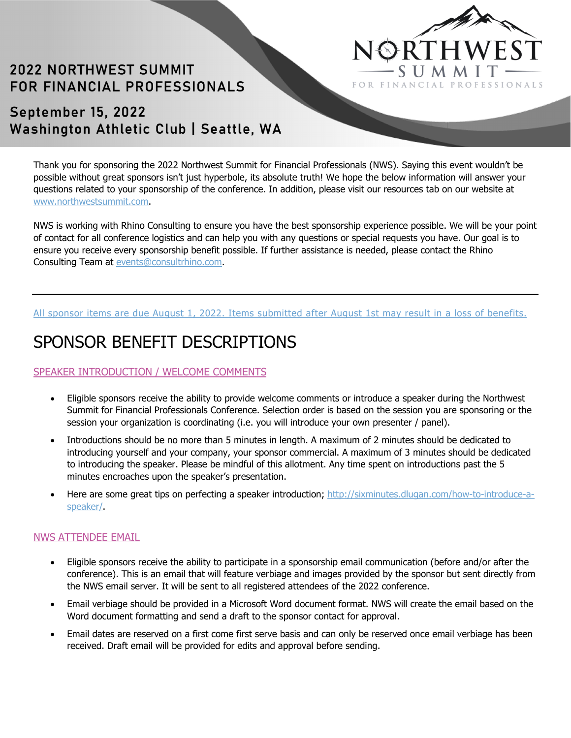

# **2022 NORTHWEST SUMMIT** FOR FINANCIAL PROFESSIONALS

## September 15, 2022 Washington Athletic Club | Seattle, WA

Thank you for sponsoring the 2022 Northwest Summit for Financial Professionals (NWS). Saying this event wouldn't be possible without great sponsors isn't just hyperbole, its absolute truth! We hope the below information will answer your questions related to your sponsorship of the conference. In addition, please visit our resources tab on our website at www.northwestsummit.com.

NWS is working with Rhino Consulting to ensure you have the best sponsorship experience possible. We will be your point of contact for all conference logistics and can help you with any questions or special requests you have. Our goal is to ensure you receive every sponsorship benefit possible. If further assistance is needed, please contact the Rhino Consulting Team at events@consultrhino.com.

#### All sponsor items are due August 1, 2022. Items submitted after August 1st may result in a loss of benefits.

# SPONSOR BENEFIT DESCRIPTIONS

### SPEAKER INTRODUCTION / WELCOME COMMENTS

- Eligible sponsors receive the ability to provide welcome comments or introduce a speaker during the Northwest Summit for Financial Professionals Conference. Selection order is based on the session you are sponsoring or the session your organization is coordinating (i.e. you will introduce your own presenter / panel).
- Introductions should be no more than 5 minutes in length. A maximum of 2 minutes should be dedicated to introducing yourself and your company, your sponsor commercial. A maximum of 3 minutes should be dedicated to introducing the speaker. Please be mindful of this allotment. Any time spent on introductions past the 5 minutes encroaches upon the speaker's presentation.
- Here are some great tips on perfecting a speaker introduction; http://sixminutes.dlugan.com/how-to-introduce-aspeaker/.

#### NWS ATTENDEE EMAIL

- Eligible sponsors receive the ability to participate in a sponsorship email communication (before and/or after the conference). This is an email that will feature verbiage and images provided by the sponsor but sent directly from the NWS email server. It will be sent to all registered attendees of the 2022 conference.
- Email verbiage should be provided in a Microsoft Word document format. NWS will create the email based on the Word document formatting and send a draft to the sponsor contact for approval.
- Email dates are reserved on a first come first serve basis and can only be reserved once email verbiage has been received. Draft email will be provided for edits and approval before sending.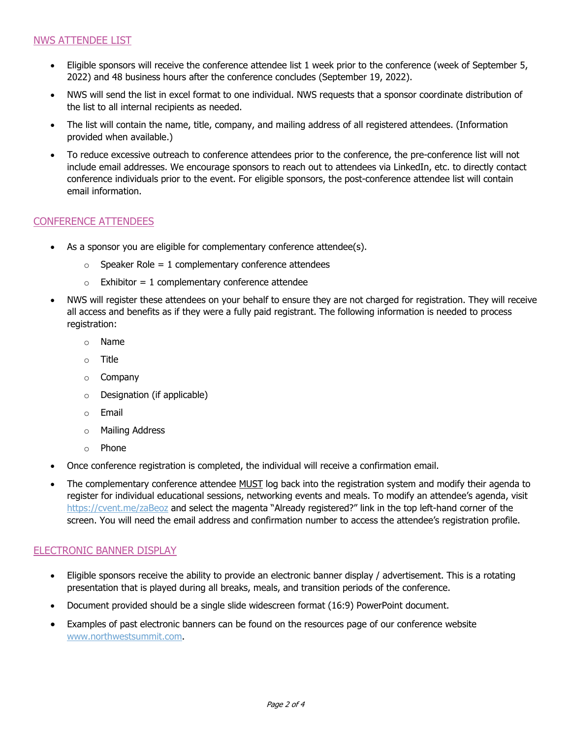#### NWS ATTENDEE LIST

- Eligible sponsors will receive the conference attendee list 1 week prior to the conference (week of September 5, 2022) and 48 business hours after the conference concludes (September 19, 2022).
- NWS will send the list in excel format to one individual. NWS requests that a sponsor coordinate distribution of the list to all internal recipients as needed.
- The list will contain the name, title, company, and mailing address of all registered attendees. (Information provided when available.)
- To reduce excessive outreach to conference attendees prior to the conference, the pre-conference list will not include email addresses. We encourage sponsors to reach out to attendees via LinkedIn, etc. to directly contact conference individuals prior to the event. For eligible sponsors, the post-conference attendee list will contain email information.

#### CONFERENCE ATTENDEES

- As a sponsor you are eligible for complementary conference attendee(s).
	- $\circ$  Speaker Role = 1 complementary conference attendees
	- $\circ$  Exhibitor = 1 complementary conference attendee
- NWS will register these attendees on your behalf to ensure they are not charged for registration. They will receive all access and benefits as if they were a fully paid registrant. The following information is needed to process registration:
	- o Name
	- o Title
	- o Company
	- o Designation (if applicable)
	- o Email
	- o Mailing Address
	- o Phone
- Once conference registration is completed, the individual will receive a confirmation email.
- The complementary conference attendee MUST log back into the registration system and modify their agenda to register for individual educational sessions, networking events and meals. To modify an attendee's agenda, visit <https://cvent.me/zaBeoz> and select the magenta "Already registered?" link in the top left-hand corner of the screen. You will need the email address and confirmation number to access the attendee's registration profile.

#### ELECTRONIC BANNER DISPLAY

- Eligible sponsors receive the ability to provide an electronic banner display / advertisement. This is a rotating presentation that is played during all breaks, meals, and transition periods of the conference.
- Document provided should be a single slide widescreen format (16:9) PowerPoint document.
- Examples of past electronic banners can be found on the resources page of our conference website www.northwestsummit.com.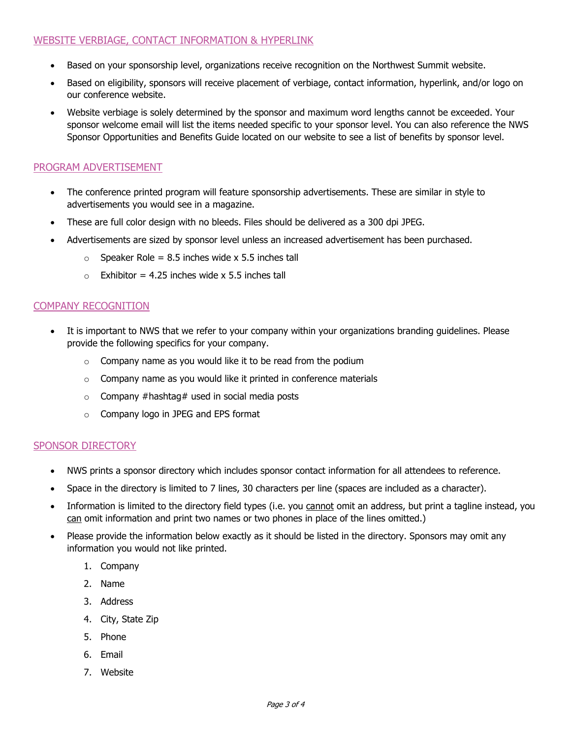- Based on your sponsorship level, organizations receive recognition on the Northwest Summit website.
- Based on eligibility, sponsors will receive placement of verbiage, contact information, hyperlink, and/or logo on our conference website.
- Website verbiage is solely determined by the sponsor and maximum word lengths cannot be exceeded. Your sponsor welcome email will list the items needed specific to your sponsor level. You can also reference the NWS Sponsor Opportunities and Benefits Guide located on our website to see a list of benefits by sponsor level.

## PROGRAM ADVERTISEMENT

- The conference printed program will feature sponsorship advertisements. These are similar in style to advertisements you would see in a magazine.
- These are full color design with no bleeds. Files should be delivered as a 300 dpi JPEG.
- Advertisements are sized by sponsor level unless an increased advertisement has been purchased.
	- $\circ$  Speaker Role = 8.5 inches wide x 5.5 inches tall
	- $\circ$  Exhibitor = 4.25 inches wide x 5.5 inches tall

#### COMPANY RECOGNITION

- It is important to NWS that we refer to your company within your organizations branding guidelines. Please provide the following specifics for your company.
	- $\circ$  Company name as you would like it to be read from the podium
	- $\circ$  Company name as you would like it printed in conference materials
	- $\circ$  Company #hashtag# used in social media posts
	- o Company logo in JPEG and EPS format

#### SPONSOR DIRECTORY

- NWS prints a sponsor directory which includes sponsor contact information for all attendees to reference.
- Space in the directory is limited to 7 lines, 30 characters per line (spaces are included as a character).
- Information is limited to the directory field types (i.e. you cannot omit an address, but print a tagline instead, you can omit information and print two names or two phones in place of the lines omitted.)
- Please provide the information below exactly as it should be listed in the directory. Sponsors may omit any information you would not like printed.
	- 1. Company
	- 2. Name
	- 3. Address
	- 4. City, State Zip
	- 5. Phone
	- 6. Email
	- 7. Website